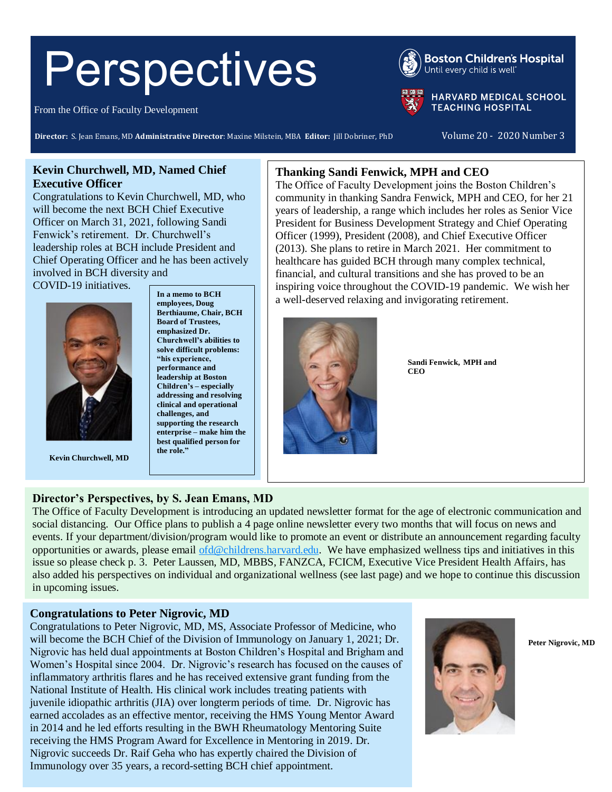# Perspectives

From the Office of Faculty Development

**Boston Children's Hospital** Until every child is well"

**HARVARD MEDICAL SCHOOL TEACHING HOSPITAL** 

**Director:** S. Jean Emans, MD Administrative Director: Maxine Milstein, MBA Editor: Jill Dobriner, PhD Volume 20 - 2020 Number 3

# **Kevin Churchwell, MD, Named Chief Executive Officer**

Congratulations to Kevin Churchwell, MD, who will become the next BCH Chief Executive Officer on March 31, 2021, following Sandi Fenwick's retirement. Dr. Churchwell's leadership roles at BCH include President and Chief Operating Officer and he has been actively involved in BCH diversity and

COVID-19 initiatives.



**Kevin Churchwell, MD**

**In a memo to BCH employees, Doug Berthiaume, Chair, BCH Board of Trustees, emphasized Dr. Churchwell's abilities to solve difficult problems: "his experience, performance and leadership at Boston Children's – especially addressing and resolving clinical and operational challenges, and supporting the research enterprise – make him the best qualified person for the role."**

# **Thanking Sandi Fenwick, MPH and CEO**

The Office of Faculty Development joins the Boston Children's community in thanking Sandra Fenwick, MPH and CEO, for her 21 years of leadership, a range which includes her roles as Senior Vice President for Business Development Strategy and Chief Operating Officer (1999), President (2008), and Chief Executive Officer (2013). She plans to retire in March 2021. Her commitment to healthcare has guided BCH through many complex technical, financial, and cultural transitions and she has proved to be an inspiring voice throughout the COVID-19 pandemic. We wish her a well-deserved relaxing and invigorating retirement.



**Sandi Fenwick, MPH and CEO**

# **Director's Perspectives, by S. Jean Emans, MD**

The Office of Faculty Development is introducing an updated newsletter format for the age of electronic communication and social distancing. Our Office plans to publish a 4 page online newsletter every two months that will focus on news and events. If your department/division/program would like to promote an event or distribute an announcement regarding faculty opportunities or awards, please email [ofd@childrens.harvard.edu.](mailto:ofd@childrens.harvard.edu) We have emphasized wellness tips and initiatives in this issue so please check p. 3. Peter Laussen, MD, MBBS, FANZCA, FCICM, Executive Vice President Health Affairs, has also added his perspectives on individual and organizational wellness (see last page) and we hope to continue this discussion in upcoming issues.

# **Congratulations to Peter Nigrovic, MD**

Congratulations to Peter Nigrovic, MD, MS, Associate Professor of Medicine, who will become the BCH Chief of the Division of Immunology on January 1, 2021; Dr. Nigrovic has held dual appointments at Boston Children's Hospital and Brigham and Women's Hospital since 2004. Dr. Nigrovic's research has focused on the causes of inflammatory arthritis flares and he has received extensive grant funding from the National Institute of Health. His clinical work includes treating patients with juvenile idiopathic arthritis (JIA) over longterm periods of time. Dr. Nigrovic has earned accolades as an effective mentor, receiving the HMS Young Mentor Award in 2014 and he led efforts resulting in the BWH Rheumatology Mentoring Suite receiving the HMS Program Award for Excellence in Mentoring in 2019. Dr. Nigrovic succeeds Dr. Raif Geha who has expertly chaired the Division of Immunology over 35 years, a record-setting BCH chief appointment.



**Peter Nigrovic, MD**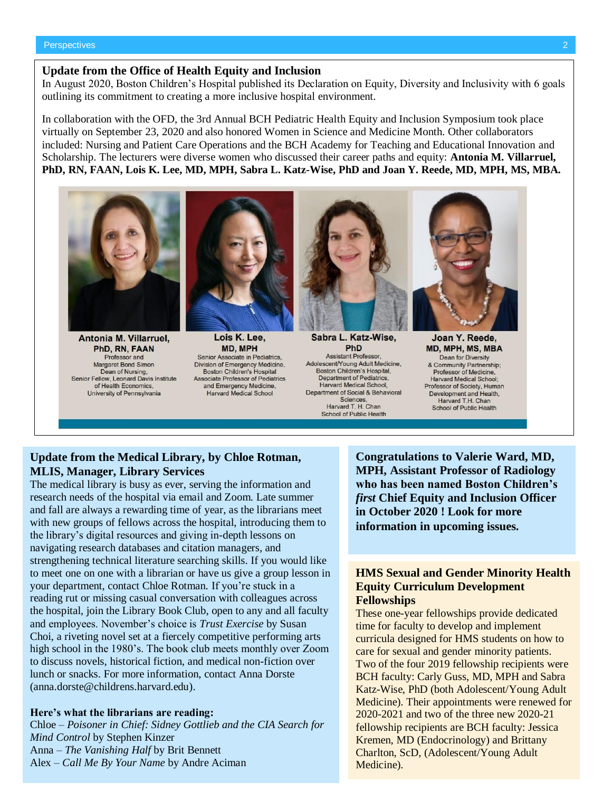#### **Update from the Office of Health Equity and Inclusion**

In August 2020, Boston Children's Hospital published its Declaration on Equity, Diversity and Inclusivity with 6 goals outlining its commitment to creating a more inclusive hospital environment.

In collaboration with the OFD, the 3rd Annual BCH Pediatric Health Equity and Inclusion Symposium took place virtually on September 23, 2020 and also honored Women in Science and Medicine Month. Other collaborators included: Nursing and Patient Care Operations and the BCH Academy for Teaching and Educational Innovation and Scholarship. The lecturers were diverse women who discussed their career paths and equity: **Antonia M. Villarruel, PhD, RN, FAAN, Lois K. Lee, MD, MPH, Sabra L. Katz-Wise, PhD and Joan Y. Reede, MD, MPH, MS, MBA.**



Antonia M. Villarruel. PhD, RN, FAAN Professor and Margaret Bond Simon Dean of Nursing, Senior Fellow, Leonard Davis Institute of Health Economics. University of Pennsylvania



Lois K. Lee. MD, MPH Senior Associate in Pediatrics, Division of Emergency Medicine, **Boston Children's Hospital Associate Professor of Pediatrics** and Emergency Medicine, **Harvard Medical School** 



Sabra L. Katz-Wise, PhD **Assistant Professor** Adolescent/Young Adult Medicine, Boston Children's Hospital. Department of Pediatrics, **Harvard Medical School.** Department of Social & Behavioral Sciences. Harvard T. H. Chan **School of Public Health** 



Joan Y. Reede, MD, MPH, MS, MBA Dean for Diversity & Community Partnership; Professor of Medicine, Harvard Medical School: Professor of Society, Human Development and Health, Harvard T.H. Chan School of Public Health

# **Update from the Medical Library, by Chloe Rotman, MLIS, Manager, Library Services**

The medical library is busy as ever, serving the information and research needs of the hospital via email and Zoom. Late summer and fall are always a rewarding time of year, as the librarians meet with new groups of fellows across the hospital, introducing them to the library's digital resources and giving in-depth lessons on navigating research databases and citation managers, and strengthening technical literature searching skills. If you would like to meet one on one with a librarian or have us give a group lesson in your department, contact Chloe Rotman. If you're stuck in a reading rut or missing casual conversation with colleagues across the hospital, join the Library Book Club, open to any and all faculty and employees. November's choice is *Trust Exercise* by Susan Choi, a riveting novel set at a fiercely competitive performing arts high school in the 1980's. The book club meets monthly over Zoom to discuss novels, historical fiction, and medical non-fiction over lunch or snacks. For more information, contact Anna Dorste (anna.dorste@childrens.harvard.edu).

#### **Here's what the librarians are reading:**

Chloe – *Poisoner in Chief: Sidney Gottlieb and the CIA Search for Mind Control* by Stephen Kinzer Anna – *The Vanishing Half* by Brit Bennett Alex – *Call Me By Your Name* by Andre Aciman

**Congratulations to Valerie Ward, MD, MPH, Assistant Professor of Radiology who has been named Boston Children's**  *first* **Chief Equity and Inclusion Officer in October 2020 ! Look for more information in upcoming issues.**

## **HMS Sexual and Gender Minority Health Equity Curriculum Development Fellowships**

These one-year fellowships provide dedicated time for faculty to develop and implement curricula designed for HMS students on how to care for sexual and gender minority patients. Two of the four 2019 fellowship recipients were BCH faculty: Carly Guss, MD, MPH and Sabra Katz-Wise, PhD (both Adolescent/Young Adult Medicine). Their appointments were renewed for 2020-2021 and two of the three new 2020-21 fellowship recipients are BCH faculty: Jessica Kremen, MD (Endocrinology) and Brittany Charlton, ScD, (Adolescent/Young Adult Medicine).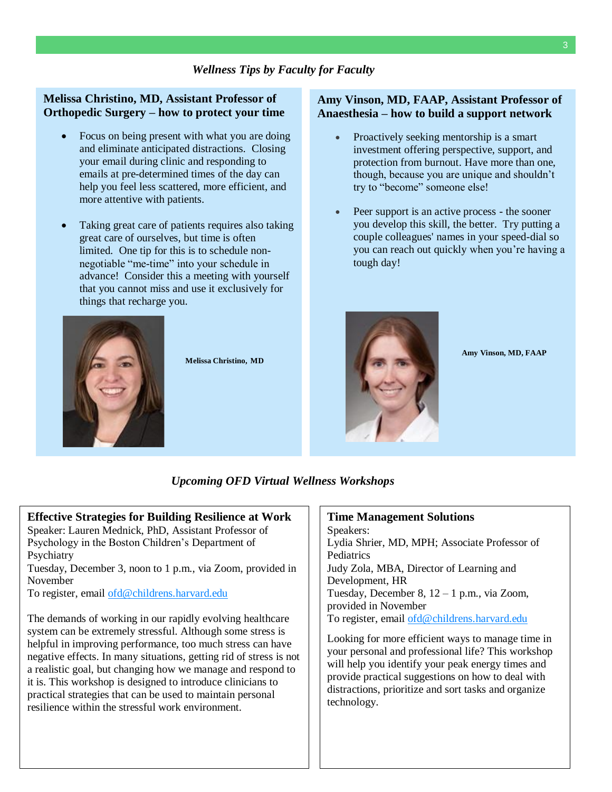## **Melissa Christino, MD, Assistant Professor of Orthopedic Surgery – how to protect your time**

- Focus on being present with what you are doing and eliminate anticipated distractions. Closing your email during clinic and responding to emails at pre-determined times of the day can help you feel less scattered, more efficient, and more attentive with patients.
- Taking great care of patients requires also taking great care of ourselves, but time is often limited. One tip for this is to schedule nonnegotiable "me-time" into your schedule in advance! Consider this a meeting with yourself that you cannot miss and use it exclusively for things that recharge you.



**Melissa Christino, MD**

#### **Amy Vinson, MD, FAAP, Assistant Professor of Anaesthesia – how to build a support network**

- Proactively seeking mentorship is a smart investment offering perspective, support, and protection from burnout. Have more than one, though, because you are unique and shouldn't try to "become" someone else!
- Peer support is an active process the sooner you develop this skill, the better. Try putting a couple colleagues' names in your speed-dial so you can reach out quickly when you're having a tough day!



**Amy Vinson, MD, FAAP**

*Upcoming OFD Virtual Wellness Workshops*

#### **Effective Strategies for Building Resilience at Work** Speaker: Lauren Mednick, PhD, Assistant Professor of

Psychology in the Boston Children's Department of Psychiatry

Tuesday, December 3, noon to 1 p.m., via Zoom, provided in November

To register, email [ofd@childrens.harvard.edu](mailto:ofd@childrens.harvard.edu)

The demands of working in our rapidly evolving healthcare system can be extremely stressful. Although some stress is helpful in improving performance, too much stress can have negative effects. In many situations, getting rid of stress is not a realistic goal, but changing how we manage and respond to it is. This workshop is designed to introduce clinicians to practical strategies that can be used to maintain personal resilience within the stressful work environment.

# **Time Management Solutions**

Speakers: Lydia Shrier, MD, MPH; Associate Professor of Pediatrics Judy Zola, MBA, Director of Learning and Development, HR Tuesday, December 8, 12 – 1 p.m., via Zoom, provided in November To register, email [ofd@childrens.harvard.edu](mailto:ofd@childrens.harvard.edu)

Looking for more efficient ways to manage time in your personal and professional life? This workshop will help you identify your peak energy times and provide practical suggestions on how to deal with distractions, prioritize and sort tasks and organize technology.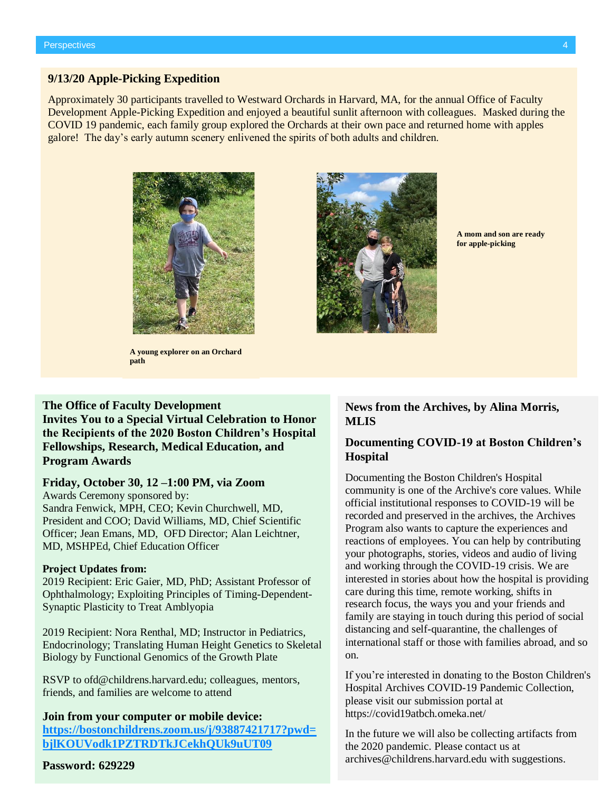#### **9/13/20 Apple-Picking Expedition**

Approximately 30 participants travelled to Westward Orchards in Harvard, MA, for the annual Office of Faculty Development Apple-Picking Expedition and enjoyed a beautiful sunlit afternoon with colleagues. Masked during the COVID 19 pandemic, each family group explored the Orchards at their own pace and returned home with apples galore! The day's early autumn scenery enlivened the spirits of both adults and children.



**A young explorer on an Orchard path**

# **The Office of Faculty Development**

**Invites You to a Special Virtual Celebration to Honor the Recipients of the 2020 Boston Children's Hospital Fellowships, Research, Medical Education, and Program Awards**

#### **Friday, October 30, 12 –1:00 PM, via Zoom**

Awards Ceremony sponsored by: Sandra Fenwick, MPH, CEO; Kevin Churchwell, MD, President and COO; David Williams, MD, Chief Scientific Officer; Jean Emans, MD, OFD Director; Alan Leichtner, MD, MSHPEd, Chief Education Officer

#### **Project Updates from:**

2019 Recipient: Eric Gaier, MD, PhD; Assistant Professor of Ophthalmology; Exploiting Principles of Timing-Dependent-Synaptic Plasticity to Treat Amblyopia

2019 Recipient: Nora Renthal, MD; Instructor in Pediatrics, Endocrinology; Translating Human Height Genetics to Skeletal Biology by Functional Genomics of the Growth Plate

RSVP to [ofd@childrens.harvard.edu;](mailto:ofd@childrens.harvard.edu) colleagues, mentors, friends, and families are welcome to attend

**Join from your computer or mobile device: [https://bostonchildrens.zoom.us/j/93887421717?pwd=](https://bostonchildrens.zoom.us/j/93887421717?pwd=bjlKOUVodk1PZTRDTkJCekhQUk9uUT09) [bjlKOUVodk1PZTRDTkJCekhQUk9uUT09](https://bostonchildrens.zoom.us/j/93887421717?pwd=bjlKOUVodk1PZTRDTkJCekhQUk9uUT09)**

#### **Password: 629229**



**A mom and son are ready for apple-picking**

#### **News from the Archives, by Alina Morris, MLIS**

#### **Documenting COVID-19 at Boston Children's Hospital**

Documenting the Boston Children's Hospital community is one of the Archive's core values. While official institutional responses to COVID-19 will be recorded and preserved in the archives, the Archives Program also wants to capture the experiences and reactions of employees. You can help by contributing your photographs, stories, videos and audio of living and working through the COVID-19 crisis. We are interested in stories about how the hospital is providing care during this time, remote working, shifts in research focus, the ways you and your friends and family are staying in touch during this period of social distancing and self-quarantine, the challenges of international staff or those with families abroad, and so on.

If you're interested in donating to the Boston Children's Hospital Archives COVID-19 Pandemic Collection, please visit our submission portal at <https://covid19atbch.omeka.net/>

In the future we will also be collecting artifacts from the 2020 pandemic. Please contact us at archives@childrens.harvard.edu with suggestions.